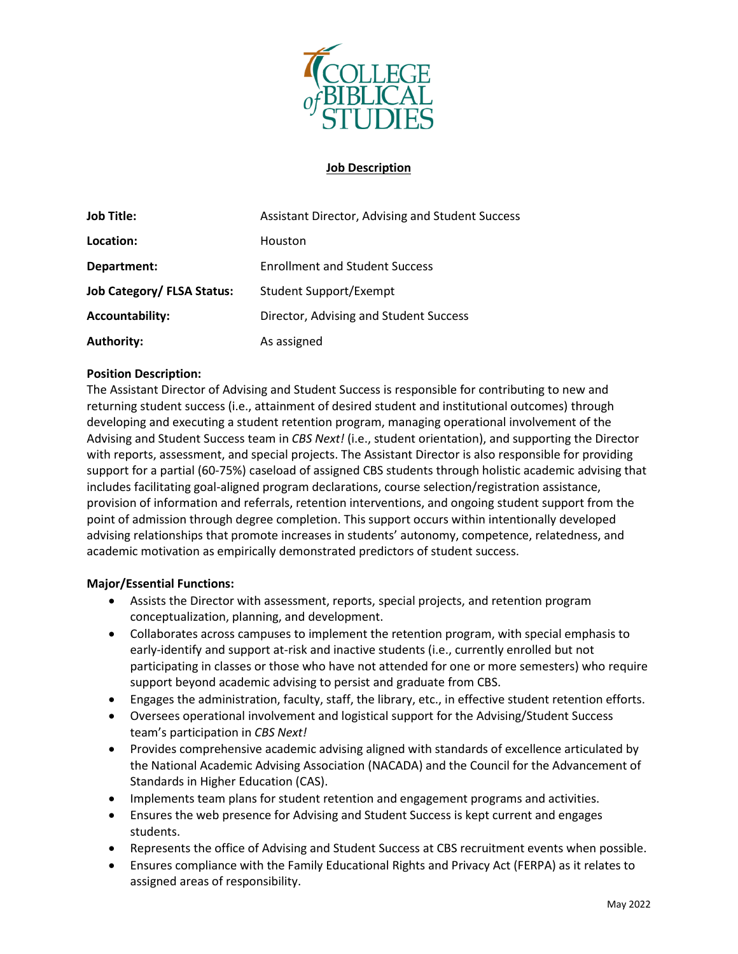

# **Job Description**

| <b>Job Title:</b>                 | Assistant Director, Advising and Student Success |
|-----------------------------------|--------------------------------------------------|
| Location:                         | Houston                                          |
| Department:                       | <b>Enrollment and Student Success</b>            |
| <b>Job Category/ FLSA Status:</b> | <b>Student Support/Exempt</b>                    |
| <b>Accountability:</b>            | Director, Advising and Student Success           |
| <b>Authority:</b>                 | As assigned                                      |

# **Position Description:**

The Assistant Director of Advising and Student Success is responsible for contributing to new and returning student success (i.e., attainment of desired student and institutional outcomes) through developing and executing a student retention program, managing operational involvement of the Advising and Student Success team in *CBS Next!* (i.e., student orientation), and supporting the Director with reports, assessment, and special projects. The Assistant Director is also responsible for providing support for a partial (60-75%) caseload of assigned CBS students through holistic academic advising that includes facilitating goal-aligned program declarations, course selection/registration assistance, provision of information and referrals, retention interventions, and ongoing student support from the point of admission through degree completion. This support occurs within intentionally developed advising relationships that promote increases in students' autonomy, competence, relatedness, and academic motivation as empirically demonstrated predictors of student success.

### **Major/Essential Functions:**

- Assists the Director with assessment, reports, special projects, and retention program conceptualization, planning, and development.
- Collaborates across campuses to implement the retention program, with special emphasis to early-identify and support at-risk and inactive students (i.e., currently enrolled but not participating in classes or those who have not attended for one or more semesters) who require support beyond academic advising to persist and graduate from CBS.
- Engages the administration, faculty, staff, the library, etc., in effective student retention efforts.
- Oversees operational involvement and logistical support for the Advising/Student Success team's participation in *CBS Next!*
- Provides comprehensive academic advising aligned with standards of excellence articulated by the National Academic Advising Association (NACADA) and the Council for the Advancement of Standards in Higher Education (CAS).
- Implements team plans for student retention and engagement programs and activities.
- Ensures the web presence for Advising and Student Success is kept current and engages students.
- Represents the office of Advising and Student Success at CBS recruitment events when possible.
- Ensures compliance with the Family Educational Rights and Privacy Act (FERPA) as it relates to assigned areas of responsibility.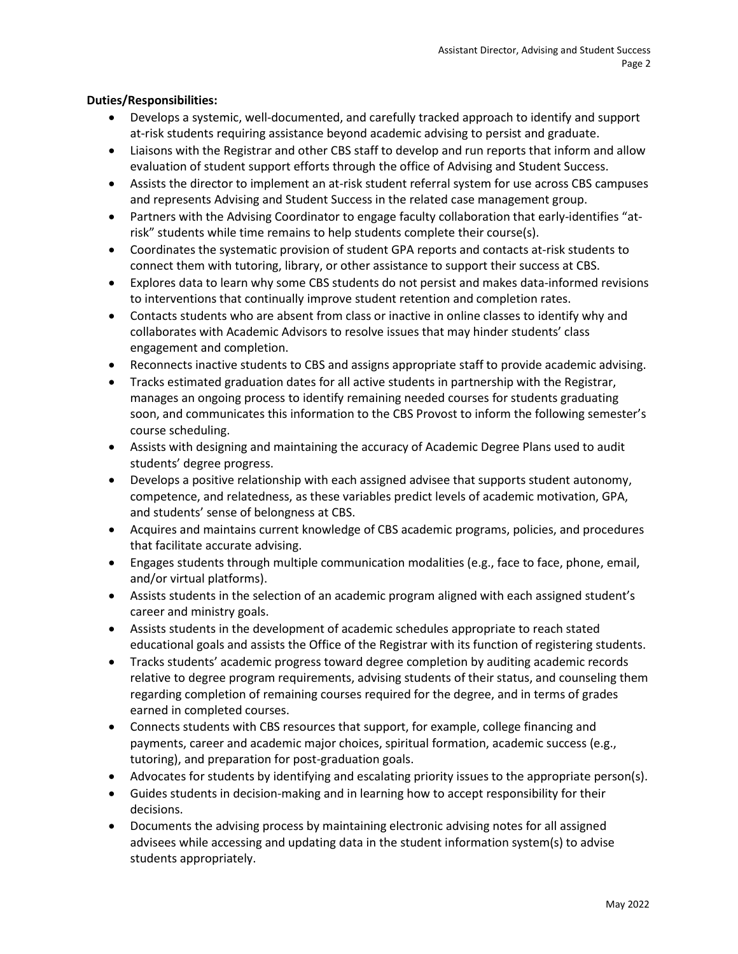### **Duties/Responsibilities:**

- Develops a systemic, well-documented, and carefully tracked approach to identify and support at-risk students requiring assistance beyond academic advising to persist and graduate.
- Liaisons with the Registrar and other CBS staff to develop and run reports that inform and allow evaluation of student support efforts through the office of Advising and Student Success.
- Assists the director to implement an at-risk student referral system for use across CBS campuses and represents Advising and Student Success in the related case management group.
- Partners with the Advising Coordinator to engage faculty collaboration that early-identifies "atrisk" students while time remains to help students complete their course(s).
- Coordinates the systematic provision of student GPA reports and contacts at-risk students to connect them with tutoring, library, or other assistance to support their success at CBS.
- Explores data to learn why some CBS students do not persist and makes data-informed revisions to interventions that continually improve student retention and completion rates.
- Contacts students who are absent from class or inactive in online classes to identify why and collaborates with Academic Advisors to resolve issues that may hinder students' class engagement and completion.
- Reconnects inactive students to CBS and assigns appropriate staff to provide academic advising.
- Tracks estimated graduation dates for all active students in partnership with the Registrar, manages an ongoing process to identify remaining needed courses for students graduating soon, and communicates this information to the CBS Provost to inform the following semester's course scheduling.
- Assists with designing and maintaining the accuracy of Academic Degree Plans used to audit students' degree progress.
- Develops a positive relationship with each assigned advisee that supports student autonomy, competence, and relatedness, as these variables predict levels of academic motivation, GPA, and students' sense of belongness at CBS.
- Acquires and maintains current knowledge of CBS academic programs, policies, and procedures that facilitate accurate advising.
- Engages students through multiple communication modalities (e.g., face to face, phone, email, and/or virtual platforms).
- Assists students in the selection of an academic program aligned with each assigned student's career and ministry goals.
- Assists students in the development of academic schedules appropriate to reach stated educational goals and assists the Office of the Registrar with its function of registering students.
- Tracks students' academic progress toward degree completion by auditing academic records relative to degree program requirements, advising students of their status, and counseling them regarding completion of remaining courses required for the degree, and in terms of grades earned in completed courses.
- Connects students with CBS resources that support, for example, college financing and payments, career and academic major choices, spiritual formation, academic success (e.g., tutoring), and preparation for post-graduation goals.
- Advocates for students by identifying and escalating priority issues to the appropriate person(s).
- Guides students in decision-making and in learning how to accept responsibility for their decisions.
- Documents the advising process by maintaining electronic advising notes for all assigned advisees while accessing and updating data in the student information system(s) to advise students appropriately.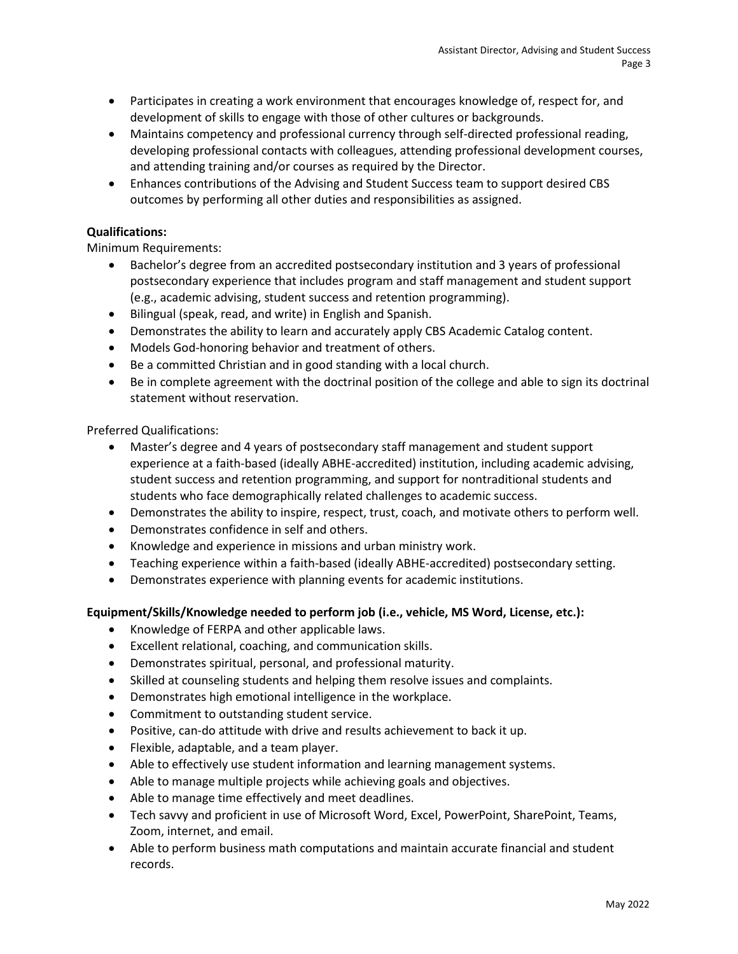- Participates in creating a work environment that encourages knowledge of, respect for, and development of skills to engage with those of other cultures or backgrounds.
- Maintains competency and professional currency through self-directed professional reading, developing professional contacts with colleagues, attending professional development courses, and attending training and/or courses as required by the Director.
- Enhances contributions of the Advising and Student Success team to support desired CBS outcomes by performing all other duties and responsibilities as assigned.

# **Qualifications:**

Minimum Requirements:

- Bachelor's degree from an accredited postsecondary institution and 3 years of professional postsecondary experience that includes program and staff management and student support (e.g., academic advising, student success and retention programming).
- Bilingual (speak, read, and write) in English and Spanish.
- Demonstrates the ability to learn and accurately apply CBS Academic Catalog content.
- Models God-honoring behavior and treatment of others.
- Be a committed Christian and in good standing with a local church.
- Be in complete agreement with the doctrinal position of the college and able to sign its doctrinal statement without reservation.

Preferred Qualifications:

- Master's degree and 4 years of postsecondary staff management and student support experience at a faith-based (ideally ABHE-accredited) institution, including academic advising, student success and retention programming, and support for nontraditional students and students who face demographically related challenges to academic success.
- Demonstrates the ability to inspire, respect, trust, coach, and motivate others to perform well.
- Demonstrates confidence in self and others.
- Knowledge and experience in missions and urban ministry work.
- Teaching experience within a faith-based (ideally ABHE-accredited) postsecondary setting.
- Demonstrates experience with planning events for academic institutions.

# **Equipment/Skills/Knowledge needed to perform job (i.e., vehicle, MS Word, License, etc.):**

- Knowledge of FERPA and other applicable laws.
- Excellent relational, coaching, and communication skills.
- Demonstrates spiritual, personal, and professional maturity.
- Skilled at counseling students and helping them resolve issues and complaints.
- Demonstrates high emotional intelligence in the workplace.
- Commitment to outstanding student service.
- Positive, can-do attitude with drive and results achievement to back it up.
- Flexible, adaptable, and a team player.
- Able to effectively use student information and learning management systems.
- Able to manage multiple projects while achieving goals and objectives.
- Able to manage time effectively and meet deadlines.
- Tech savvy and proficient in use of Microsoft Word, Excel, PowerPoint, SharePoint, Teams, Zoom, internet, and email.
- Able to perform business math computations and maintain accurate financial and student records.